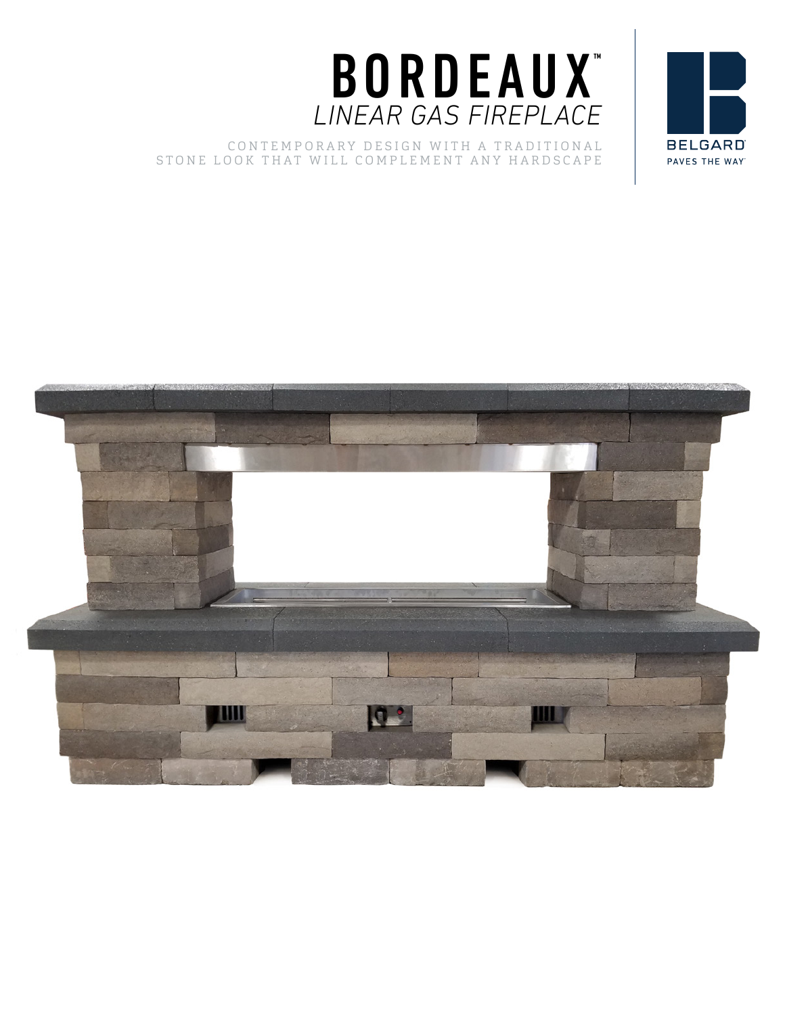

## CONTEMPORARY DESIGN WITH A TRADITIONAL STONE LOOK THAT WILL COMPLEMENT ANY HARDSCAPE



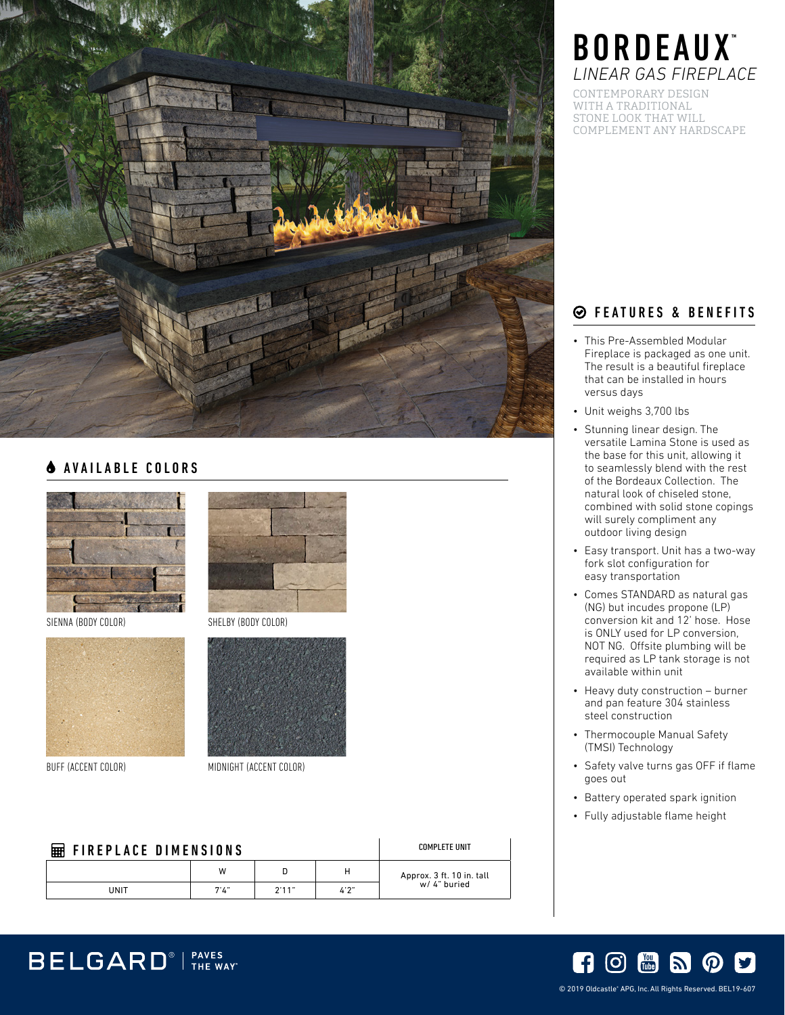

## **A** AVAILABLE COLORS



SIENNA (BODY COLOR) SHELBY (BODY COLOR)



BELGARD<sup>®</sup> | PAVES





BUFF (ACCENT COLOR) MIDNIGHT (ACCENT COLOR)

| <b>FIREPLACE DIMENSIONS</b><br>囲 |      |       |       |      | COMPLETE UNIT             |
|----------------------------------|------|-------|-------|------|---------------------------|
|                                  |      | W     |       | н    | Approx. 3 ft. 10 in. tall |
|                                  | UNIT | 7'1'' | 2'11" | 4'2" | w/ 4" buried              |

# BORDEAUX<sup>™</sup> *LINEAR GAS FIREPLACE*

CONTEMPORARY DESIGN WITH A TRADITIONAL STONE LOOK THAT WILL COMPLEMENT ANY HARDSCAPE

## FEATURES & BENEFITS

- This Pre-Assembled Modular Fireplace is packaged as one unit. The result is a beautiful fireplace that can be installed in hours versus days
- Unit weighs 3,700 lbs
- Stunning linear design. The versatile Lamina Stone is used as the base for this unit, allowing it to seamlessly blend with the rest of the Bordeaux Collection. The natural look of chiseled stone, combined with solid stone copings will surely compliment any outdoor living design
- Easy transport. Unit has a two-way fork slot configuration for easy transportation
- Comes STANDARD as natural gas (NG) but incudes propone (LP) conversion kit and 12' hose. Hose is ONLY used for LP conversion, NOT NG. Offsite plumbing will be required as LP tank storage is not available within unit
- Heavy duty construction burner and pan feature 304 stainless steel construction
- Thermocouple Manual Safety (TMSI) Technology
- Safety valve turns gas OFF if flame goes out
- Battery operated spark ignition
- Fully adjustable flame height